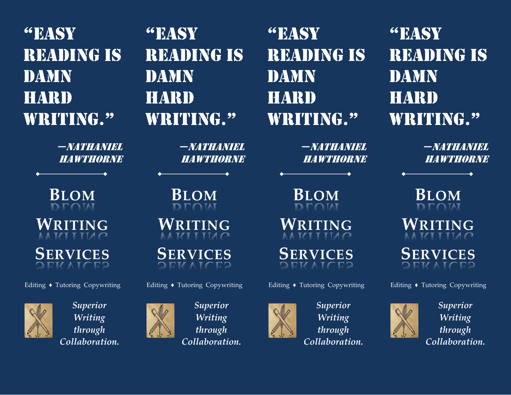"Easy reading is DAMN **HARD** WRITING."

> —Nathaniel Hawthorne

**BLOM WRITING SERVICES**

Editing ♦ Tutoring Copywriting

*Superior Writing through Collaboration.*



*Superior Writing through Collaboration.*

**BLOM WRITING**

—Nathaniel Hawthorne

"Easy

damn

**HARD** 

reading is

WRITING."

**SERVICES**

Editing ♦ Tutoring Copywriting



"Easy reading is DAMN **HARD** WRITING."

> —Nathaniel Hawthorne

**BLOM**

"Easy reading is DAMN **HARD** WRITING."

> —Nathaniel Hawthorne

**BLOM WRITING SERVICES**

Editing ♦ Tutoring Copywriting



*Superior Writing through Collaboration.*

**WRITING SERVICES**

Editing ♦ Tutoring Copywriting



*Superior Writing through Collaboration.*